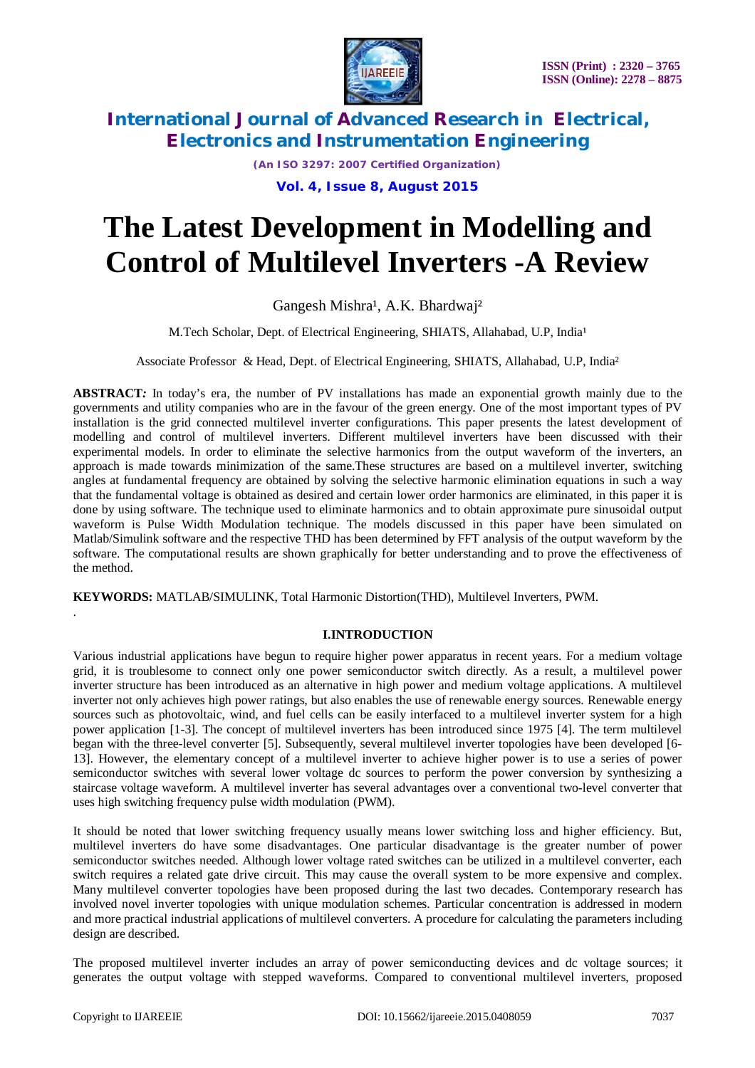

*(An ISO 3297: 2007 Certified Organization)*

**Vol. 4, Issue 8, August 2015**

# **The Latest Development in Modelling and Control of Multilevel Inverters -A Review**

## Gangesh Mishra<sup>1</sup>, A.K. Bhardwaj<sup>2</sup>

M.Tech Scholar, Dept. of Electrical Engineering, SHIATS, Allahabad, U.P, India<sup>1</sup>

Associate Professor & Head, Dept. of Electrical Engineering, SHIATS, Allahabad, U.P, India²

**ABSTRACT***:* In today's era, the number of PV installations has made an exponential growth mainly due to the governments and utility companies who are in the favour of the green energy. One of the most important types of PV installation is the grid connected multilevel inverter configurations. This paper presents the latest development of modelling and control of multilevel inverters. Different multilevel inverters have been discussed with their experimental models. In order to eliminate the selective harmonics from the output waveform of the inverters, an approach is made towards minimization of the same.These structures are based on a multilevel inverter, switching angles at fundamental frequency are obtained by solving the selective harmonic elimination equations in such a way that the fundamental voltage is obtained as desired and certain lower order harmonics are eliminated, in this paper it is done by using software. The technique used to eliminate harmonics and to obtain approximate pure sinusoidal output waveform is Pulse Width Modulation technique. The models discussed in this paper have been simulated on Matlab/Simulink software and the respective THD has been determined by FFT analysis of the output waveform by the software. The computational results are shown graphically for better understanding and to prove the effectiveness of the method.

**KEYWORDS:** MATLAB/SIMULINK, Total Harmonic Distortion(THD), Multilevel Inverters, PWM.

### **I.INTRODUCTION**

Various industrial applications have begun to require higher power apparatus in recent years. For a medium voltage grid, it is troublesome to connect only one power semiconductor switch directly. As a result, a multilevel power inverter structure has been introduced as an alternative in high power and medium voltage applications. A multilevel inverter not only achieves high power ratings, but also enables the use of renewable energy sources. Renewable energy sources such as photovoltaic, wind, and fuel cells can be easily interfaced to a multilevel inverter system for a high power application [1-3]. The concept of multilevel inverters has been introduced since 1975 [4]. The term multilevel began with the three-level converter [5]. Subsequently, several multilevel inverter topologies have been developed [6- 13]. However, the elementary concept of a multilevel inverter to achieve higher power is to use a series of power semiconductor switches with several lower voltage dc sources to perform the power conversion by synthesizing a staircase voltage waveform. A multilevel inverter has several advantages over a conventional two-level converter that uses high switching frequency pulse width modulation (PWM).

It should be noted that lower switching frequency usually means lower switching loss and higher efficiency. But, multilevel inverters do have some disadvantages. One particular disadvantage is the greater number of power semiconductor switches needed. Although lower voltage rated switches can be utilized in a multilevel converter, each switch requires a related gate drive circuit. This may cause the overall system to be more expensive and complex. Many multilevel converter topologies have been proposed during the last two decades. Contemporary research has involved novel inverter topologies with unique modulation schemes. Particular concentration is addressed in modern and more practical industrial applications of multilevel converters. A procedure for calculating the parameters including design are described.

The proposed multilevel inverter includes an array of power semiconducting devices and dc voltage sources; it generates the output voltage with stepped waveforms. Compared to conventional multilevel inverters, proposed

.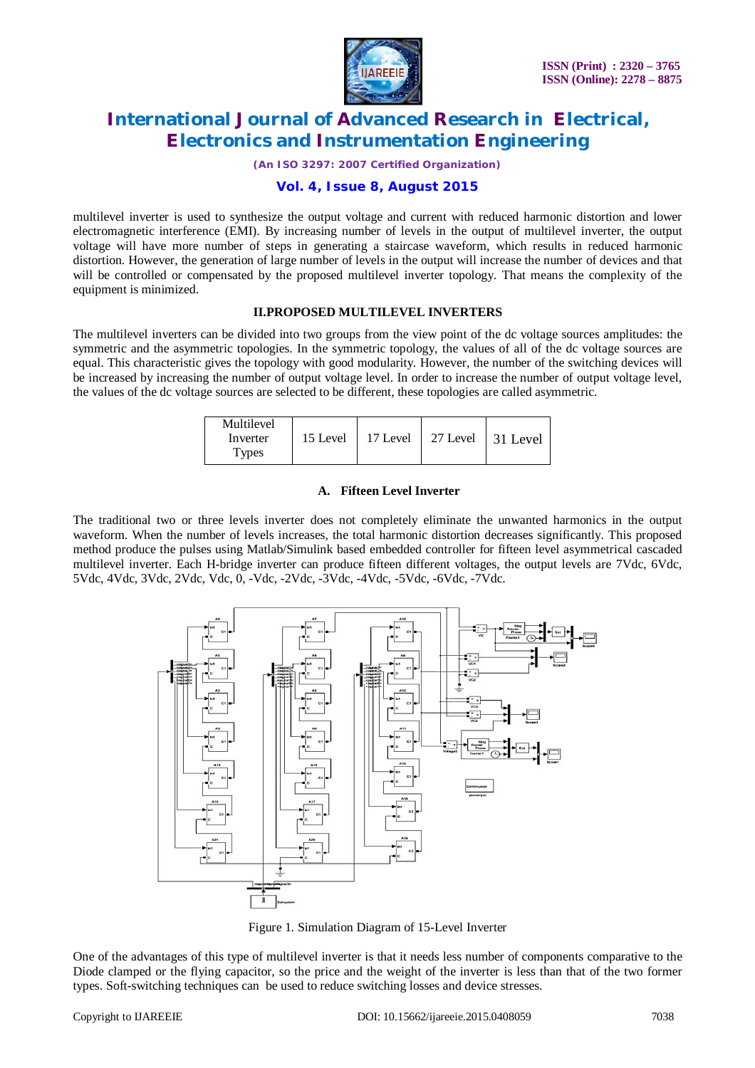

*(An ISO 3297: 2007 Certified Organization)*

### **Vol. 4, Issue 8, August 2015**

multilevel inverter is used to synthesize the output voltage and current with reduced harmonic distortion and lower electromagnetic interference (EMI). By increasing number of levels in the output of multilevel inverter, the output voltage will have more number of steps in generating a staircase waveform, which results in reduced harmonic distortion. However, the generation of large number of levels in the output will increase the number of devices and that will be controlled or compensated by the proposed multilevel inverter topology. That means the complexity of the equipment is minimized.

### **II.PROPOSED MULTILEVEL INVERTERS**

The multilevel inverters can be divided into two groups from the view point of the dc voltage sources amplitudes: the symmetric and the asymmetric topologies. In the symmetric topology, the values of all of the dc voltage sources are equal. This characteristic gives the topology with good modularity. However, the number of the switching devices will be increased by increasing the number of output voltage level. In order to increase the number of output voltage level, the values of the dc voltage sources are selected to be different, these topologies are called asymmetric.

| Multilevel<br>Inverter<br><b>Types</b> | 15 Level | 17 Level | 27 Level | $\vert$ 31 Level |
|----------------------------------------|----------|----------|----------|------------------|
|----------------------------------------|----------|----------|----------|------------------|

#### **A. Fifteen Level Inverter**

The traditional two or three levels inverter does not completely eliminate the unwanted harmonics in the output waveform. When the number of levels increases, the total harmonic distortion decreases significantly. This proposed method produce the pulses using Matlab/Simulink based embedded controller for fifteen level asymmetrical cascaded multilevel inverter. Each H-bridge inverter can produce fifteen different voltages, the output levels are 7Vdc, 6Vdc, 5Vdc, 4Vdc, 3Vdc, 2Vdc, Vdc, 0, -Vdc, -2Vdc, -3Vdc, -4Vdc, -5Vdc, -6Vdc, -7Vdc.



Figure 1. Simulation Diagram of 15-Level Inverter

One of the advantages of this type of multilevel inverter is that it needs less number of components comparative to the Diode clamped or the flying capacitor, so the price and the weight of the inverter is less than that of the two former types. Soft-switching techniques can be used to reduce switching losses and device stresses.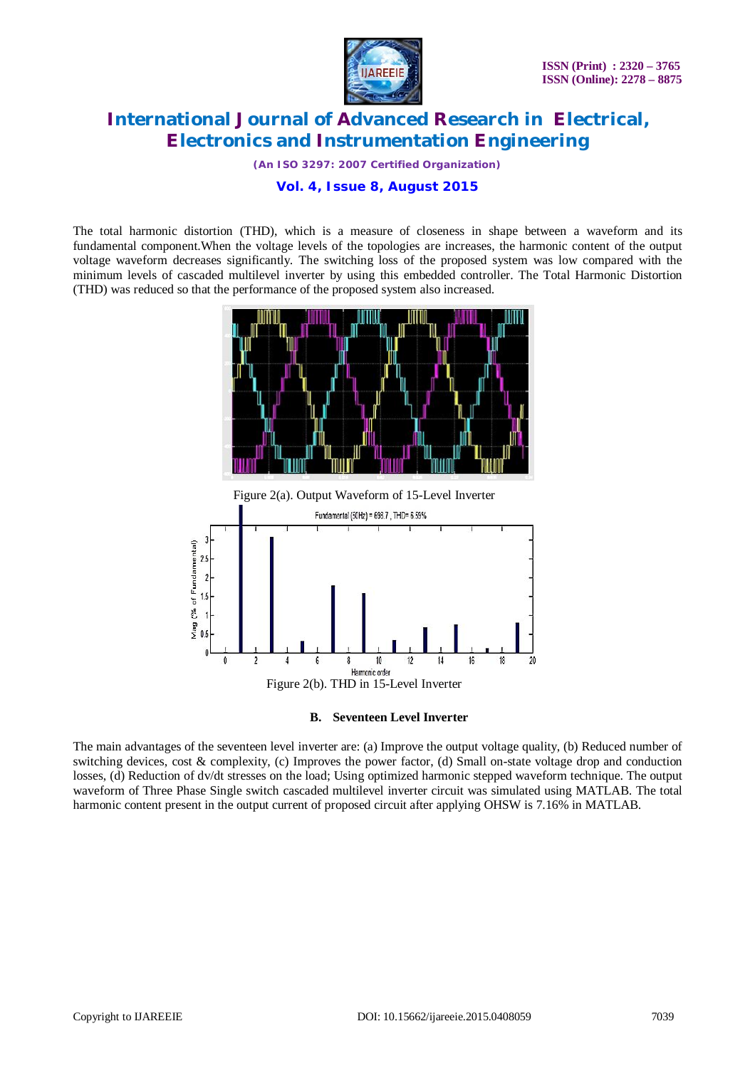

*(An ISO 3297: 2007 Certified Organization)*

**Vol. 4, Issue 8, August 2015**

The total harmonic distortion (THD), which is a measure of closeness in shape between a waveform and its fundamental component.When the voltage levels of the topologies are increases, the harmonic content of the output voltage waveform decreases significantly. The switching loss of the proposed system was low compared with the minimum levels of cascaded multilevel inverter by using this embedded controller. The Total Harmonic Distortion (THD) was reduced so that the performance of the proposed system also increased.



**B. Seventeen Level Inverter**

The main advantages of the seventeen level inverter are: (a) Improve the output voltage quality, (b) Reduced number of switching devices, cost & complexity, (c) Improves the power factor, (d) Small on-state voltage drop and conduction losses, (d) Reduction of dv/dt stresses on the load; Using optimized harmonic stepped waveform technique. The output waveform of Three Phase Single switch cascaded multilevel inverter circuit was simulated using MATLAB. The total harmonic content present in the output current of proposed circuit after applying OHSW is 7.16% in MATLAB.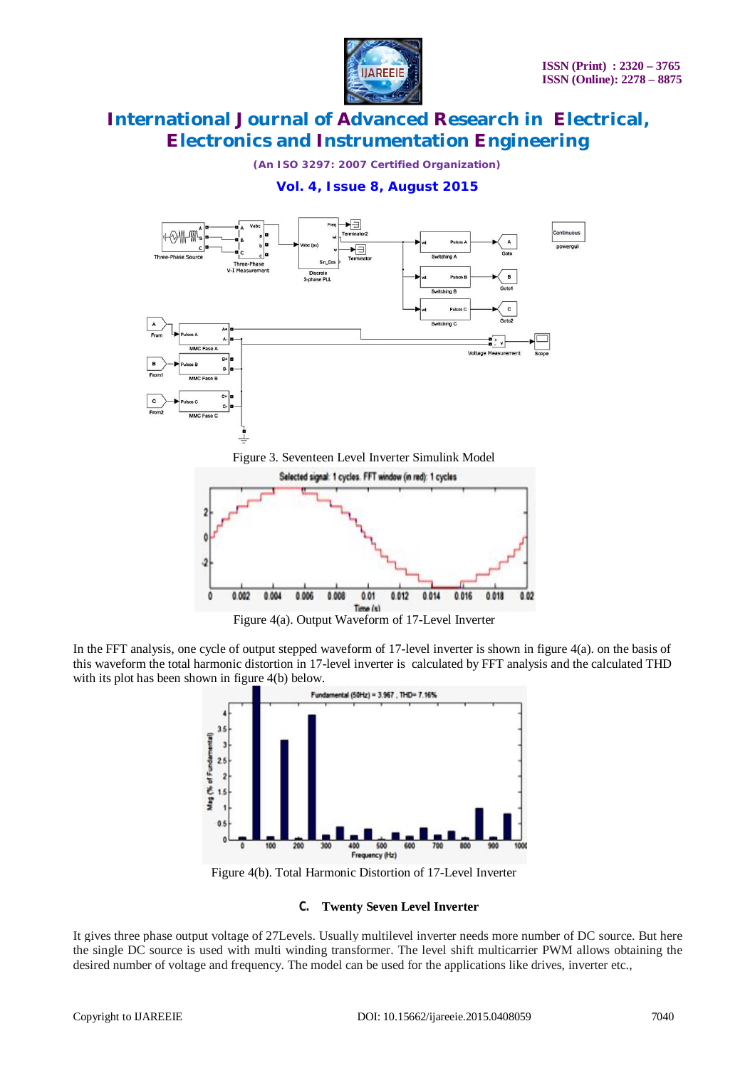

*(An ISO 3297: 2007 Certified Organization)*

### **Vol. 4, Issue 8, August 2015**



Figure 3. Seventeen Level Inverter Simulink Model



Figure 4(a). Output Waveform of 17-Level Inverter

In the FFT analysis, one cycle of output stepped waveform of 17-level inverter is shown in figure 4(a). on the basis of this waveform the total harmonic distortion in 17-level inverter is calculated by FFT analysis and the calculated THD with its plot has been shown in figure 4(b) below.



Figure 4(b). Total Harmonic Distortion of 17-Level Inverter

#### **C. Twenty Seven Level Inverter**

It gives three phase output voltage of 27Levels. Usually multilevel inverter needs more number of DC source. But here the single DC source is used with multi winding transformer. The level shift multicarrier PWM allows obtaining the desired number of voltage and frequency. The model can be used for the applications like drives, inverter etc.,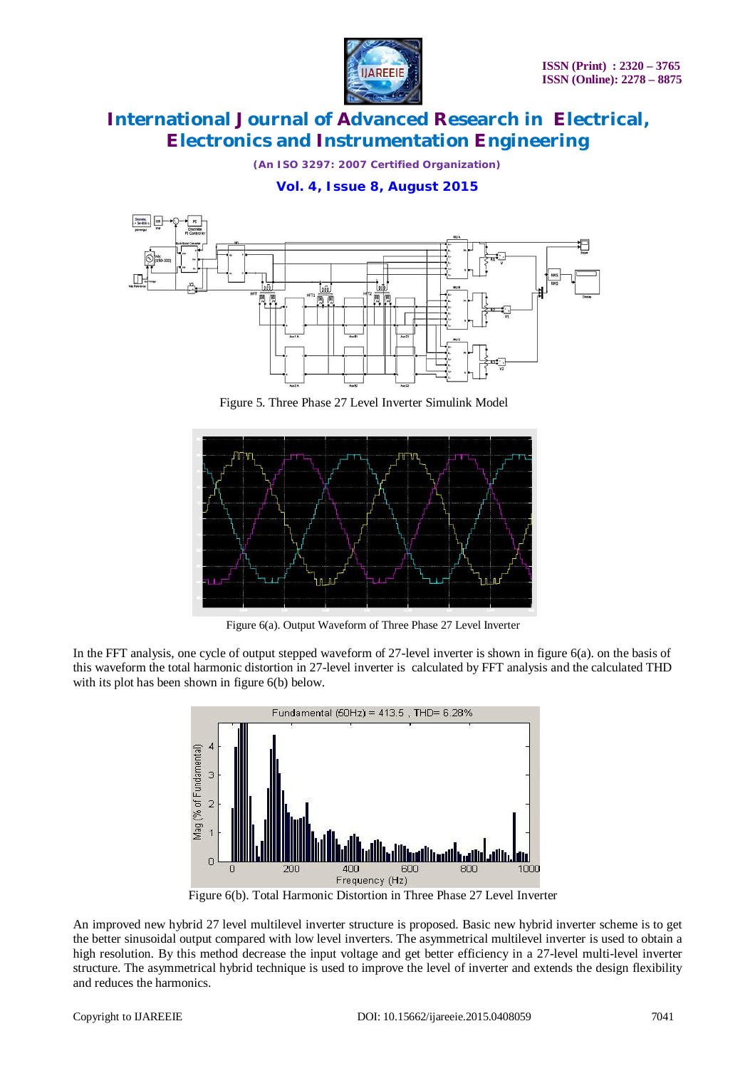

*(An ISO 3297: 2007 Certified Organization)*

### **Vol. 4, Issue 8, August 2015**



Figure 5. Three Phase 27 Level Inverter Simulink Model



Figure 6(a). Output Waveform of Three Phase 27 Level Inverter

In the FFT analysis, one cycle of output stepped waveform of 27-level inverter is shown in figure 6(a). on the basis of this waveform the total harmonic distortion in 27-level inverter is calculated by FFT analysis and the calculated THD with its plot has been shown in figure 6(b) below.



Figure 6(b). Total Harmonic Distortion in Three Phase 27 Level Inverter

An improved new hybrid 27 level multilevel inverter structure is proposed. Basic new hybrid inverter scheme is to get the better sinusoidal output compared with low level inverters. The asymmetrical multilevel inverter is used to obtain a high resolution. By this method decrease the input voltage and get better efficiency in a 27-level multi-level inverter structure. The asymmetrical hybrid technique is used to improve the level of inverter and extends the design flexibility and reduces the harmonics.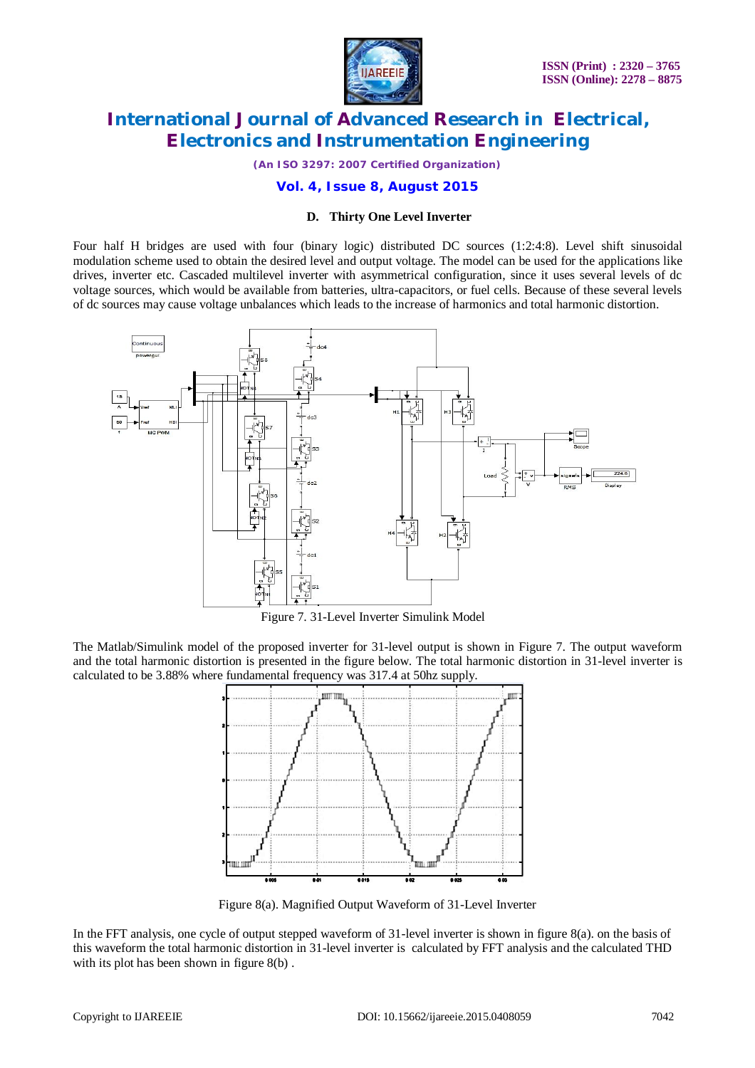

*(An ISO 3297: 2007 Certified Organization)*

### **Vol. 4, Issue 8, August 2015**

#### **D. Thirty One Level Inverter**

Four half H bridges are used with four (binary logic) distributed DC sources (1:2:4:8). Level shift sinusoidal modulation scheme used to obtain the desired level and output voltage. The model can be used for the applications like drives, inverter etc. Cascaded multilevel inverter with asymmetrical configuration, since it uses several levels of dc voltage sources, which would be available from batteries, ultra-capacitors, or fuel cells. Because of these several levels of dc sources may cause voltage unbalances which leads to the increase of harmonics and total harmonic distortion.



Figure 7. 31-Level Inverter Simulink Model

The Matlab/Simulink model of the proposed inverter for 31-level output is shown in Figure 7. The output waveform and the total harmonic distortion is presented in the figure below. The total harmonic distortion in 31-level inverter is calculated to be 3.88% where fundamental frequency was 317.4 at 50hz supply.



Figure 8(a). Magnified Output Waveform of 31-Level Inverter

In the FFT analysis, one cycle of output stepped waveform of 31-level inverter is shown in figure 8(a). on the basis of this waveform the total harmonic distortion in 31-level inverter is calculated by FFT analysis and the calculated THD with its plot has been shown in figure  $8(b)$ .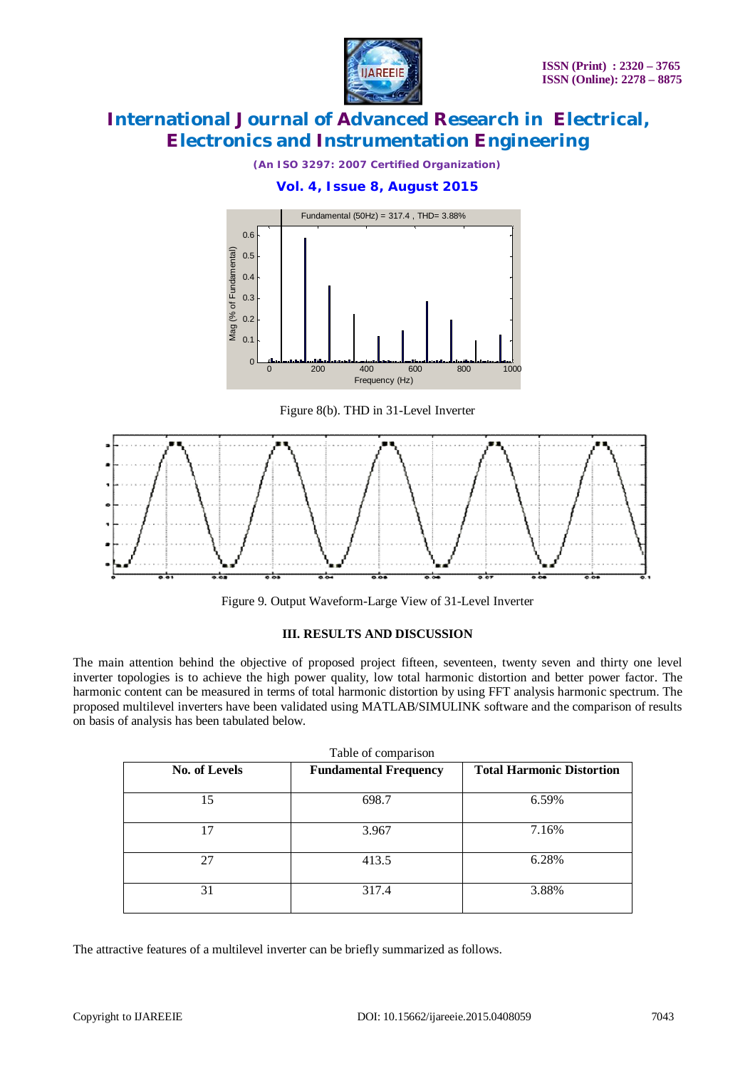

*(An ISO 3297: 2007 Certified Organization)*

### **Vol. 4, Issue 8, August 2015**



Figure 8(b). THD in 31-Level Inverter



Figure 9. Output Waveform-Large View of 31-Level Inverter

### **III. RESULTS AND DISCUSSION**

The main attention behind the objective of proposed project fifteen, seventeen, twenty seven and thirty one level inverter topologies is to achieve the high power quality, low total harmonic distortion and better power factor. The harmonic content can be measured in terms of total harmonic distortion by using FFT analysis harmonic spectrum. The proposed multilevel inverters have been validated using MATLAB/SIMULINK software and the comparison of results on basis of analysis has been tabulated below.

| No. of Levels | <b>Fundamental Frequency</b> | <b>Total Harmonic Distortion</b> |
|---------------|------------------------------|----------------------------------|
| 15            | 698.7                        | 6.59%                            |
| 17            | 3.967                        | 7.16%                            |
| 27            | 413.5                        | 6.28%                            |
| 31            | 317.4                        | 3.88%                            |

The attractive features of a multilevel inverter can be briefly summarized as follows.